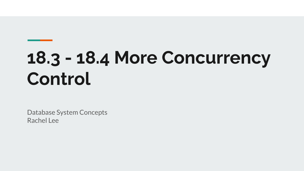# **18.3 - 18.4 More Concurrency Control**

Database System Concepts Rachel Lee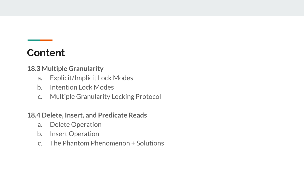#### **Content**

**18.3 Multiple Granularity**

- a. Explicit/Implicit Lock Modes
- b. Intention Lock Modes
- c. Multiple Granularity Locking Protocol

**18.4 Delete, Insert, and Predicate Reads**

- a. Delete Operation
- b. Insert Operation
- c. The Phantom Phenomenon + Solutions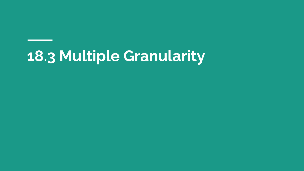## **18.3 Multiple Granularity**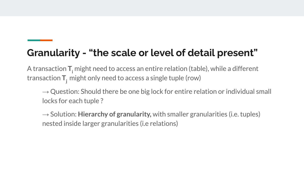#### **Granularity - "the scale or level of detail present"**

A transaction **T**<sub>i</sub> might need to access an entire relation (table), while a different transaction  $T_i$  might only need to access a single tuple (row)

 $\rightarrow$  Question: Should there be one big lock for entire relation or individual small locks for each tuple ?

 $\rightarrow$  Solution: **Hierarchy of granularity**, with smaller granularities (i.e. tuples) nested inside larger granularities (i.e relations)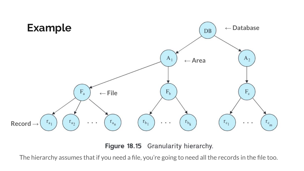

Figure 18.15 Granularity hierarchy.

The hierarchy assumes that if you need a file, you're going to need all the records in the file too.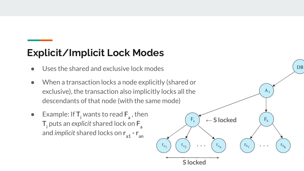### **Explicit/Implicit Lock Modes**

- Uses the shared and exclusive lock modes
- When a transaction locks a node explicitly (shared or exclusive), the transaction also implicitly locks all the descendants of that node (with the same mode)
- $\bullet$  Example: If  $T_i$  wants to read  $F_a$ , then  $\mathsf{T}_{\mathsf{i}}$  puts an *explicit* shared lock on  $\mathsf{F}_{\mathsf{a}}^{\phantom{\dag}}$ and *implicit* shared locks on  $\mathsf{r}_{_{\mathsf{a1}}}$  -  $\mathsf{r}_{_{\mathsf{a\mathsf{n}}}}$

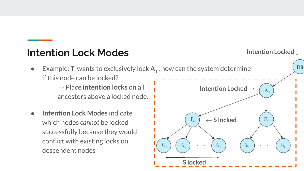#### **Intention Lock Modes**

 $\bullet$  Example: T<sub>j</sub> wants to exclusively lock  $A_1$ , how can the system determine if this node can be locked?

→ Place **intention locks** on all ancestors above a locked node.

**Intention Lock Modes** indicate which nodes *cannot* be locked successfully because they would conflict with existing locks on descendent nodes



**Intention Locked ↓**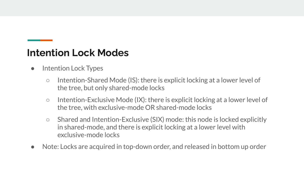#### **Intention Lock Modes**

- Intention Lock Types
	- Intention-Shared Mode (IS): there is explicit locking at a lower level of the tree, but only shared-mode locks
	- Intention-Exclusive Mode (IX): there is explicit locking at a lower level of the tree, with exclusive-mode OR shared-mode locks
	- Shared and Intention-Exclusive (SIX) mode: this node is locked explicitly in shared-mode, and there is explicit locking at a lower level with exclusive-mode locks
- Note: Locks are acquired in top-down order, and released in bottom up order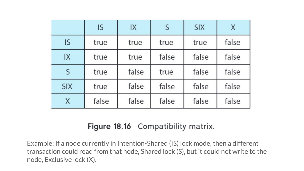|            | <b>IS</b> | IX    | S     | <b>SIX</b> | X     |
|------------|-----------|-------|-------|------------|-------|
| IS         | true      | true  | true  | true       | false |
| IX         | true      | true  | false | false      | false |
| S          | true      | false | true  | false      | false |
| <b>SIX</b> | true      | false | false | false      | false |
| X          | false     | false | false | false      | false |

#### Figure 18.16 Compatibility matrix.

Example: If a node currently in Intention-Shared (IS) lock mode, then a different transaction could read from that node, Shared lock (S), but it could not write to the node, Exclusive lock (X).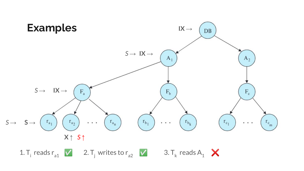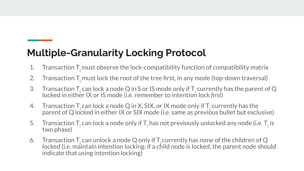### **Multiple-Granularity Locking Protocol**

- 1. Transaction  $T<sub>i</sub>$  must observe the lock-compatibility function of compatibility matrix
- 2. Transaction T<sub>i</sub> must lock the root of the tree first, in any mode (top-down traversal)
- 3. Transaction T<sub>i</sub> can lock a node Q in S or IS mode only if T<sub>i</sub> currently has the parent of Q locked in either IX or IS mode (i.e. remember to intention lock *first*)
- 4. Transaction T<sub>i</sub> can lock a node Q in X, SIX, or IX mode only if T<sub>i</sub> currently has the parent of Q locked in either IX or SIX mode (i.e. same as previous bullet but exclusive)
- 5. Transaction T<sub>i</sub> can lock a node only if T<sub>i</sub> has not previously unlocked any node (i.e. T<sub>i</sub> is two phase)
- 6. Transaction  $T_i$  can unlock a node Q only if  $T_i$  currently has none of the children of Q locked (i.e. maintain intention locking: if a child node is locked, the parent node should indicate that using intention locking)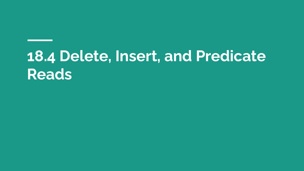### **18.4 Delete, Insert, and Predicate Reads**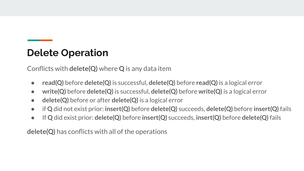#### **Delete Operation**

Conflicts with **delete(Q)** where **Q** is any data item

- **● read(Q)** before **delete(Q)** is successful, **delete(Q)** before **read(Q)** is a logical error
- **● write(Q)** before **delete(Q)** is successful, **delete(Q)** before **write(Q)** is a logical error
- **delete(Q)** before or after **delete(Q)** is a logical error
- **●** if **Q** did not exist prior: **insert(Q)** before **delete(Q)** succeeds, **delete(Q)** before **insert(Q)** fails
- If **Q** did exist prior: **delete(Q)** before **insert(Q)** succeeds, **insert(Q)** before **delete(Q)** fails

**delete(Q)** has conflicts with all of the operations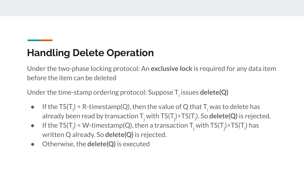### **Handling Delete Operation**

Under the two-phase locking protocol: An **exclusive lock** is required for any data item before the item can be deleted

Under the time-stamp ordering protocol: Suppose  $\mathsf{T}_\mathsf{i}$  issues  $\mathsf{delete}(\mathsf{Q})$ 

- $\bullet$  If the TS(T<sub>i</sub>) < R-timestamp(Q), then the value of Q that T<sub>i</sub> was to delete has already been read by transaction  $\mathsf{T}_\mathsf{j}$  with  $\mathsf{TS}(\mathsf{T}_\mathsf{j})$ >TS(T $_\mathsf{j}$ ). So <code>delete(Q)</code> is rejected.
- If the TS(T<sub>i</sub>) < W-timestamp(Q), then a transaction T<sub>j</sub> with TS(T<sub>j</sub>)>TS(T<sub>i</sub>) has written Q already. So **delete(Q)** is rejected.
- Otherwise, the **delete(Q)** is executed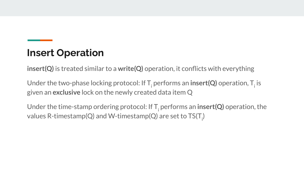#### **Insert Operation**

**insert(Q)** is treated similar to a **write(Q)** operation, it conflicts with everything

Under the two-phase locking protocol: If  ${\sf T}_{\sf i}$  performs an  ${\sf insert}({\sf Q})$  operation,  ${\sf T}_{\sf i}$  is given an **exclusive** lock on the newly created data item Q

Under the time-stamp ordering protocol: If T<sub>;</sub> performs an **insert(Q)** operation, the values R-timestamp(Q) and W-timestamp(Q) are set to TS(T<sub>i</sub>)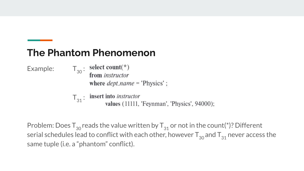#### **The Phantom Phenomenon**

Example:  $T_{30}$ :

select count( $*$ ) from *instructor* 

where  $dept\_name = 'Physics'$ ;

 $T_{31}$ : insert into *instructor* values (11111, 'Feynman', 'Physics', 94000);

Problem: Does  $T_{30}$  reads the value written by  $T_{31}$  or not in the count(\*)? Different serial schedules lead to conflict with each other, however  $T_{30}$  and  $T_{31}$  never access the same tuple (i.e. a "phantom" conflict).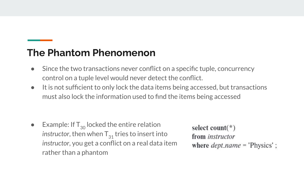#### **The Phantom Phenomenon**

- Since the two transactions never conflict on a specific tuple, concurrency control on a tuple level would never detect the conflict.
- It is not sufficient to only lock the data items being accessed, but transactions must also lock the information used to find the items being accessed

• Example: If  $T_{30}$  locked the entire relation *instructor*, then when  $T_{31}$  tries to insert into *instructor*, you get a conflict on a real data item rather than a phantom

select count( $*$ ) from *instructor* where  $dept\_name = 'Physics'$ ;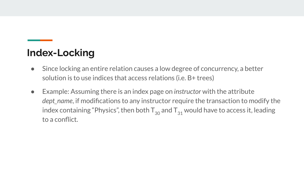#### **Index-Locking**

- Since locking an entire relation causes a low degree of concurrency, a better solution is to use indices that access relations (i.e. B+ trees)
- Example: Assuming there is an index page on *instructor* with the attribute *dept\_name*, if modifications to any instructor require the transaction to modify the index containing "Physics", then both  $T_{30}$  and  $T_{31}$  would have to access it, leading to a conflict.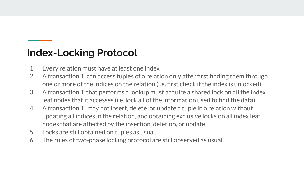#### **Index-Locking Protocol**

- 1. Every relation must have at least one index
- 2.  $\;\;$  A transaction T $_{\textrm{i}}$  can access tuples of a relation only after first finding them through one or more of the indices on the relation (i.e. first check if the index is unlocked)
- 3. A transaction  $T$ , that performs a lookup must acquire a shared lock on all the index leaf nodes that it accesses (i.e. lock all of the information used to find the data)
- 4. A transaction  $T_i$  may not insert, delete, or update a tuple in a relation without updating all indices in the relation, and obtaining exclusive locks on all index leaf nodes that are affected by the insertion, deletion, or update.
- 5. Locks are still obtained on tuples as usual.
- 6. The rules of two-phase locking protocol are still observed as usual.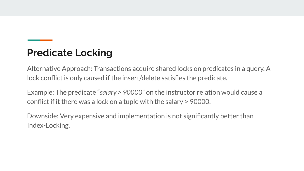#### **Predicate Locking**

Alternative Approach: Transactions acquire shared locks on predicates in a query. A lock conflict is only caused if the insert/delete satisfies the predicate.

Example: The predicate "*salary > 90000*" on the instructor relation would cause a conflict if it there was a lock on a tuple with the salary > 90000.

Downside: Very expensive and implementation is not significantly better than Index-Locking.